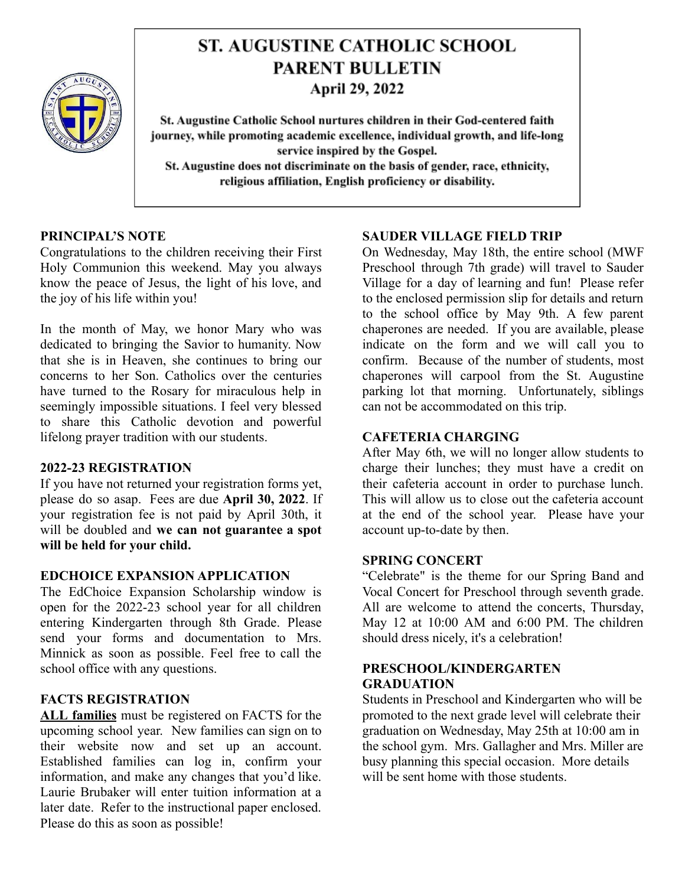

# **ST. AUGUSTINE CATHOLIC SCHOOL PARENT BULLETIN April 29, 2022**

St. Augustine Catholic School nurtures children in their God-centered faith journey, while promoting academic excellence, individual growth, and life-long service inspired by the Gospel. St. Augustine does not discriminate on the basis of gender, race, ethnicity, religious affiliation, English proficiency or disability.

## **PRINCIPAL'S NOTE**

Congratulations to the children receiving their First Holy Communion this weekend. May you always know the peace of Jesus, the light of his love, and the joy of his life within you!

In the month of May, we honor Mary who was dedicated to bringing the Savior to humanity. Now that she is in Heaven, she continues to bring our concerns to her Son. Catholics over the centuries have turned to the Rosary for miraculous help in seemingly impossible situations. I feel very blessed to share this Catholic devotion and powerful lifelong prayer tradition with our students.

### **2022-23 REGISTRATION**

If you have not returned your registration forms yet, please do so asap. Fees are due **April 30, 2022**. If your registration fee is not paid by April 30th, it will be doubled and **we can not guarantee a spot will be held for your child.**

### **EDCHOICE EXPANSION APPLICATION**

The EdChoice Expansion Scholarship window is open for the 2022-23 school year for all children entering Kindergarten through 8th Grade. Please send your forms and documentation to Mrs. Minnick as soon as possible. Feel free to call the school office with any questions.

# **FACTS REGISTRATION**

**ALL families** must be registered on FACTS for the upcoming school year. New families can sign on to their website now and set up an account. Established families can log in, confirm your information, and make any changes that you'd like. Laurie Brubaker will enter tuition information at a later date. Refer to the instructional paper enclosed. Please do this as soon as possible!

### **SAUDER VILLAGE FIELD TRIP**

On Wednesday, May 18th, the entire school (MWF Preschool through 7th grade) will travel to Sauder Village for a day of learning and fun! Please refer to the enclosed permission slip for details and return to the school office by May 9th. A few parent chaperones are needed. If you are available, please indicate on the form and we will call you to confirm. Because of the number of students, most chaperones will carpool from the St. Augustine parking lot that morning. Unfortunately, siblings can not be accommodated on this trip.

# **CAFETERIA CHARGING**

After May 6th, we will no longer allow students to charge their lunches; they must have a credit on their cafeteria account in order to purchase lunch. This will allow us to close out the cafeteria account at the end of the school year. Please have your account up-to-date by then.

# **SPRING CONCERT**

"Celebrate" is the theme for our Spring Band and Vocal Concert for Preschool through seventh grade. All are welcome to attend the concerts, Thursday, May 12 at 10:00 AM and 6:00 PM. The children should dress nicely, it's a celebration!

## **PRESCHOOL/KINDERGARTEN GRADUATION**

Students in Preschool and Kindergarten who will be promoted to the next grade level will celebrate their graduation on Wednesday, May 25th at 10:00 am in the school gym. Mrs. Gallagher and Mrs. Miller are busy planning this special occasion. More details will be sent home with those students.